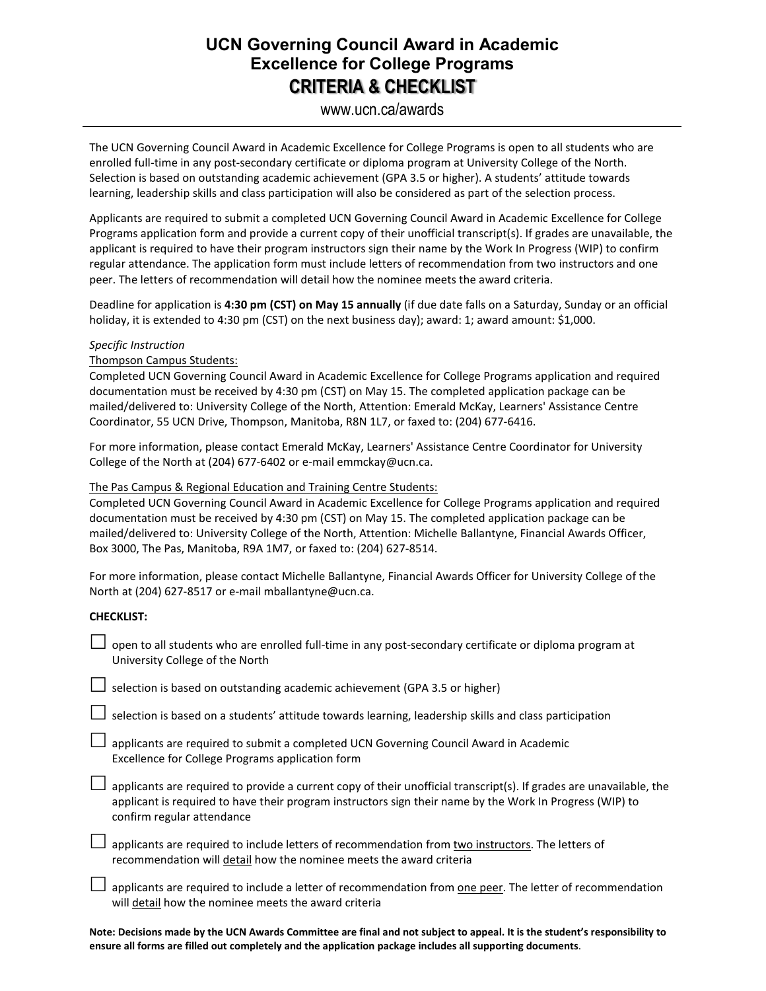## **UCN Governing Council Award in Academic Excellence for College Programs CRITERIA & CHECKLIST**

### www.ucn.ca/awards

The UCN Governing Council Award in Academic Excellence for College Programs is open to all students who are enrolled full-time in any post-secondary certificate or diploma program at University College of the North. Selection is based on outstanding academic achievement (GPA 3.5 or higher). A students' attitude towards learning, leadership skills and class participation will also be considered as part of the selection process.

Applicants are required to submit a completed UCN Governing Council Award in Academic Excellence for College Programs application form and provide a current copy of their unofficial transcript(s). If grades are unavailable, the applicant is required to have their program instructors sign their name by the Work In Progress (WIP) to confirm regular attendance. The application form must include letters of recommendation from two instructors and one peer. The letters of recommendation will detail how the nominee meets the award criteria.

Deadline for application is **4:30 pm (CST) on May 15 annually** (if due date falls on a Saturday, Sunday or an official holiday, it is extended to 4:30 pm (CST) on the next business day); award: 1; award amount: \$1,000.

#### *Specific Instruction*

Thompson Campus Students:

Completed UCN Governing Council Award in Academic Excellence for College Programs application and required documentation must be received by 4:30 pm (CST) on May 15. The completed application package can be mailed/delivered to: University College of the North, Attention: Emerald McKay, Learners' Assistance Centre Coordinator, 55 UCN Drive, Thompson, Manitoba, R8N 1L7, or faxed to: (204) 677-6416.

For more information, please contact Emerald McKay, Learners' Assistance Centre Coordinator for University College of the North at (204) 677-6402 or e-mail emmckay@ucn.ca.

#### The Pas Campus & Regional Education and Training Centre Students:

Completed UCN Governing Council Award in Academic Excellence for College Programs application and required documentation must be received by 4:30 pm (CST) on May 15. The completed application package can be mailed/delivered to: University College of the North, Attention: Michelle Ballantyne, Financial Awards Officer, Box 3000, The Pas, Manitoba, R9A 1M7, or faxed to: (204) 627-8514.

For more information, please contact Michelle Ballantyne, Financial Awards Officer for University College of the North at (204) 627-8517 or e-mail mballantyne@ucn.ca.

#### **CHECKLIST:**

 open to all students who are enrolled full-time in any post-secondary certificate or diploma program at University College of the North

 $\Box$  selection is based on outstanding academic achievement (GPA 3.5 or higher)

 $\Box$  selection is based on a students' attitude towards learning, leadership skills and class participation

 $\Box$  applicants are required to submit a completed UCN Governing Council Award in Academic Excellence for College Programs application form

 $\Box$  applicants are required to provide a current copy of their unofficial transcript(s). If grades are unavailable, the applicant is required to have their program instructors sign their name by the Work In Progress (WIP) to confirm regular attendance

 $\Box$  applicants are required to include letters of recommendation from two instructors. The letters of recommendation will detail how the nominee meets the award criteria

 $\Box$  applicants are required to include a letter of recommendation from one peer. The letter of recommendation will detail how the nominee meets the award criteria

**Note: Decisions made by the UCN Awards Committee are final and not subject to appeal. It is the student's responsibility to ensure all forms are filled out completely and the application package includes all supporting documents**.